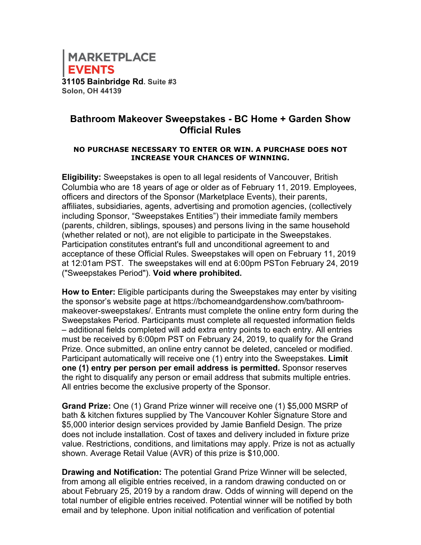

## **Bathroom Makeover Sweepstakes - BC Home + Garden Show Official Rules**

## **NO PURCHASE NECESSARY TO ENTER OR WIN. A PURCHASE DOES NOT INCREASE YOUR CHANCES OF WINNING.**

**Eligibility:** Sweepstakes is open to all legal residents of Vancouver, British Columbia who are 18 years of age or older as of February 11, 2019. Employees, officers and directors of the Sponsor (Marketplace Events), their parents, affiliates, subsidiaries, agents, advertising and promotion agencies, (collectively including Sponsor, "Sweepstakes Entities") their immediate family members (parents, children, siblings, spouses) and persons living in the same household (whether related or not), are not eligible to participate in the Sweepstakes. Participation constitutes entrant's full and unconditional agreement to and acceptance of these Official Rules. Sweepstakes will open on February 11, 2019 at 12:01am PST. The sweepstakes will end at 6:00pm PSTon February 24, 2019 ("Sweepstakes Period"). **Void where prohibited.** 

**How to Enter:** Eligible participants during the Sweepstakes may enter by visiting the sponsor's website page at https://bchomeandgardenshow.com/bathroommakeover-sweepstakes/. Entrants must complete the online entry form during the Sweepstakes Period. Participants must complete all requested information fields – additional fields completed will add extra entry points to each entry. All entries must be received by 6:00pm PST on February 24, 2019, to qualify for the Grand Prize. Once submitted, an online entry cannot be deleted, canceled or modified. Participant automatically will receive one (1) entry into the Sweepstakes. **Limit one (1) entry per person per email address is permitted.** Sponsor reserves the right to disqualify any person or email address that submits multiple entries. All entries become the exclusive property of the Sponsor.

**Grand Prize:** One (1) Grand Prize winner will receive one (1) \$5,000 MSRP of bath & kitchen fixtures supplied by The Vancouver Kohler Signature Store and \$5,000 interior design services provided by Jamie Banfield Design. The prize does not include installation. Cost of taxes and delivery included in fixture prize value. Restrictions, conditions, and limitations may apply. Prize is not as actually shown. Average Retail Value (AVR) of this prize is \$10,000.

**Drawing and Notification:** The potential Grand Prize Winner will be selected, from among all eligible entries received, in a random drawing conducted on or about February 25, 2019 by a random draw. Odds of winning will depend on the total number of eligible entries received. Potential winner will be notified by both email and by telephone. Upon initial notification and verification of potential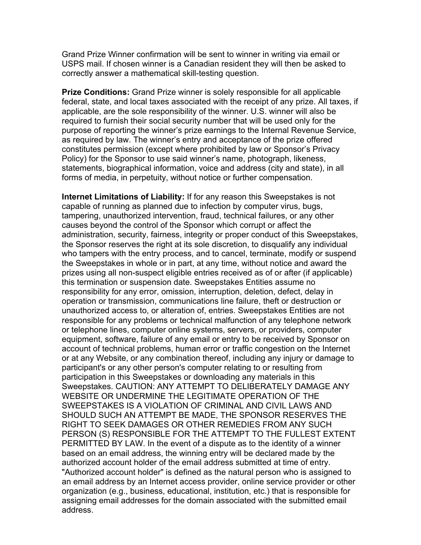Grand Prize Winner confirmation will be sent to winner in writing via email or USPS mail. If chosen winner is a Canadian resident they will then be asked to correctly answer a mathematical skill-testing question.

**Prize Conditions:** Grand Prize winner is solely responsible for all applicable federal, state, and local taxes associated with the receipt of any prize. All taxes, if applicable, are the sole responsibility of the winner. U.S. winner will also be required to furnish their social security number that will be used only for the purpose of reporting the winner's prize earnings to the Internal Revenue Service, as required by law. The winner's entry and acceptance of the prize offered constitutes permission (except where prohibited by law or Sponsor's Privacy Policy) for the Sponsor to use said winner's name, photograph, likeness, statements, biographical information, voice and address (city and state), in all forms of media, in perpetuity, without notice or further compensation.

**Internet Limitations of Liability:** If for any reason this Sweepstakes is not capable of running as planned due to infection by computer virus, bugs, tampering, unauthorized intervention, fraud, technical failures, or any other causes beyond the control of the Sponsor which corrupt or affect the administration, security, fairness, integrity or proper conduct of this Sweepstakes, the Sponsor reserves the right at its sole discretion, to disqualify any individual who tampers with the entry process, and to cancel, terminate, modify or suspend the Sweepstakes in whole or in part, at any time, without notice and award the prizes using all non-suspect eligible entries received as of or after (if applicable) this termination or suspension date. Sweepstakes Entities assume no responsibility for any error, omission, interruption, deletion, defect, delay in operation or transmission, communications line failure, theft or destruction or unauthorized access to, or alteration of, entries. Sweepstakes Entities are not responsible for any problems or technical malfunction of any telephone network or telephone lines, computer online systems, servers, or providers, computer equipment, software, failure of any email or entry to be received by Sponsor on account of technical problems, human error or traffic congestion on the Internet or at any Website, or any combination thereof, including any injury or damage to participant's or any other person's computer relating to or resulting from participation in this Sweepstakes or downloading any materials in this Sweepstakes. CAUTION: ANY ATTEMPT TO DELIBERATELY DAMAGE ANY WEBSITE OR UNDERMINE THE LEGITIMATE OPERATION OF THE SWEEPSTAKES IS A VIOLATION OF CRIMINAL AND CIVIL LAWS AND SHOULD SUCH AN ATTEMPT BE MADE, THE SPONSOR RESERVES THE RIGHT TO SEEK DAMAGES OR OTHER REMEDIES FROM ANY SUCH PERSON (S) RESPONSIBLE FOR THE ATTEMPT TO THE FULLEST EXTENT PERMITTED BY LAW. In the event of a dispute as to the identity of a winner based on an email address, the winning entry will be declared made by the authorized account holder of the email address submitted at time of entry. "Authorized account holder" is defined as the natural person who is assigned to an email address by an Internet access provider, online service provider or other organization (e.g., business, educational, institution, etc.) that is responsible for assigning email addresses for the domain associated with the submitted email address.